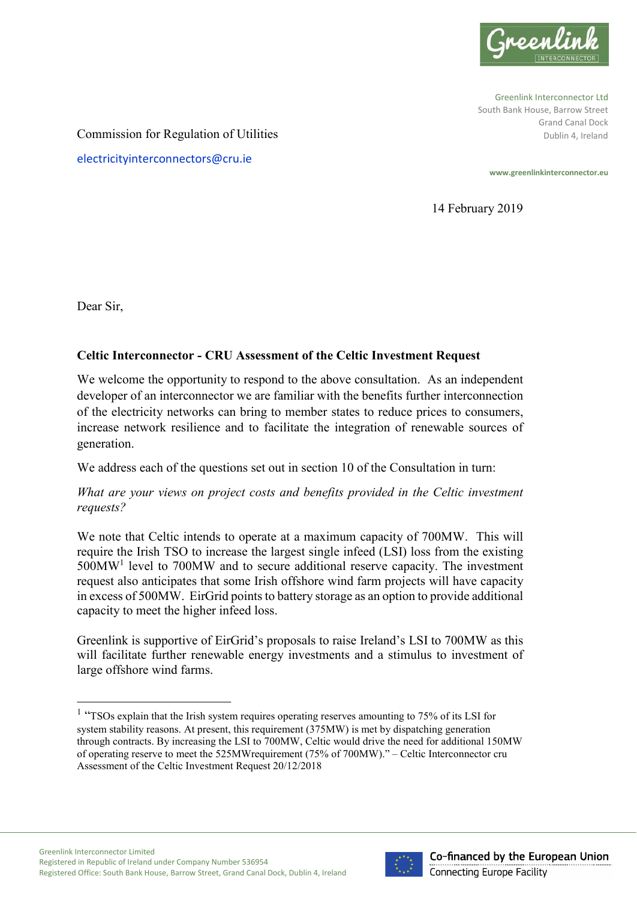

Greenlink Interconnector Ltd South Bank House, Barrow Street Grand Canal Dock Dublin 4, Ireland

Commission for Regulation of Utilities

electricityinterconnectors@cru.ie

**www.greenlinkinterconnector.eu**

14 February 2019

Dear Sir,

 $\overline{a}$ 

# **Celtic Interconnector - CRU Assessment of the Celtic Investment Request**

We welcome the opportunity to respond to the above consultation. As an independent developer of an interconnector we are familiar with the benefits further interconnection of the electricity networks can bring to member states to reduce prices to consumers, increase network resilience and to facilitate the integration of renewable sources of generation.

We address each of the questions set out in section 10 of the Consultation in turn:

# *What are your views on project costs and benefits provided in the Celtic investment requests?*

We note that Celtic intends to operate at a maximum capacity of 700MW. This will require the Irish TSO to increase the largest single infeed (LSI) loss from the existing 500MW<sup>1</sup> level to 700MW and to secure additional reserve capacity. The investment request also anticipates that some Irish offshore wind farm projects will have capacity in excess of 500MW. EirGrid points to battery storage as an option to provide additional capacity to meet the higher infeed loss.

Greenlink is supportive of EirGrid's proposals to raise Ireland's LSI to 700MW as this will facilitate further renewable energy investments and a stimulus to investment of large offshore wind farms.



<sup>&</sup>lt;sup>1</sup> "TSOs explain that the Irish system requires operating reserves amounting to 75% of its LSI for system stability reasons. At present, this requirement (375MW) is met by dispatching generation through contracts. By increasing the LSI to 700MW, Celtic would drive the need for additional 150MW of operating reserve to meet the 525MWrequirement (75% of 700MW)." – Celtic Interconnector cru Assessment of the Celtic Investment Request 20/12/2018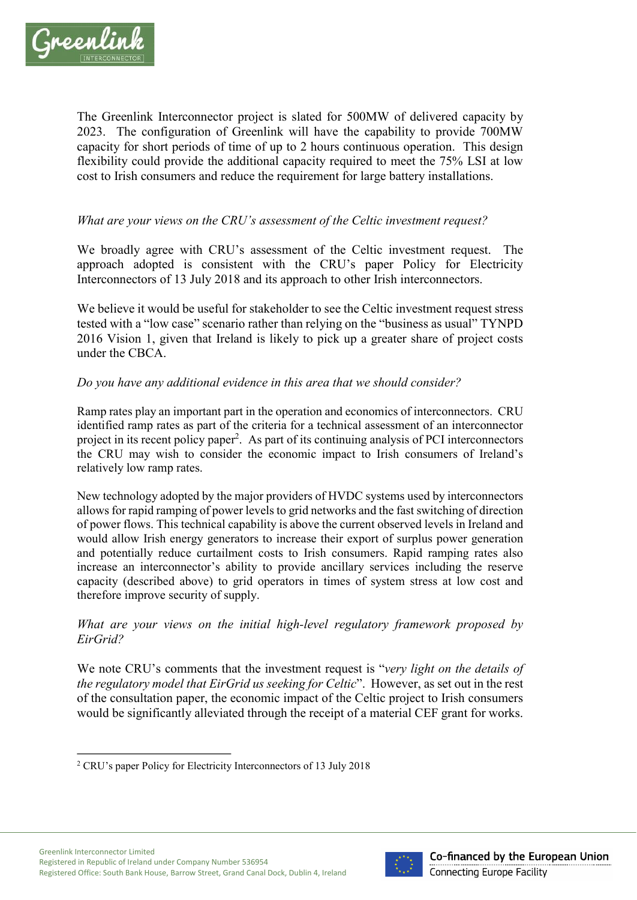

The Greenlink Interconnector project is slated for 500MW of delivered capacity by 2023. The configuration of Greenlink will have the capability to provide 700MW capacity for short periods of time of up to 2 hours continuous operation. This design flexibility could provide the additional capacity required to meet the 75% LSI at low cost to Irish consumers and reduce the requirement for large battery installations.

## *What are your views on the CRU's assessment of the Celtic investment request?*

We broadly agree with CRU's assessment of the Celtic investment request. The approach adopted is consistent with the CRU's paper Policy for Electricity Interconnectors of 13 July 2018 and its approach to other Irish interconnectors.

We believe it would be useful for stakeholder to see the Celtic investment request stress tested with a "low case" scenario rather than relying on the "business as usual" TYNPD 2016 Vision 1, given that Ireland is likely to pick up a greater share of project costs under the CBCA.

### *Do you have any additional evidence in this area that we should consider?*

Ramp rates play an important part in the operation and economics of interconnectors. CRU identified ramp rates as part of the criteria for a technical assessment of an interconnector project in its recent policy paper<sup>2</sup>. As part of its continuing analysis of PCI interconnectors the CRU may wish to consider the economic impact to Irish consumers of Ireland's relatively low ramp rates.

New technology adopted by the major providers of HVDC systems used by interconnectors allows for rapid ramping of power levels to grid networks and the fast switching of direction of power flows. This technical capability is above the current observed levels in Ireland and would allow Irish energy generators to increase their export of surplus power generation and potentially reduce curtailment costs to Irish consumers. Rapid ramping rates also increase an interconnector's ability to provide ancillary services including the reserve capacity (described above) to grid operators in times of system stress at low cost and therefore improve security of supply.

### *What are your views on the initial high-level regulatory framework proposed by EirGrid?*

We note CRU's comments that the investment request is "*very light on the details of the regulatory model that EirGrid us seeking for Celtic*". However, as set out in the rest of the consultation paper, the economic impact of the Celtic project to Irish consumers would be significantly alleviated through the receipt of a material CEF grant for works.



 $\overline{a}$ <sup>2</sup> CRU's paper Policy for Electricity Interconnectors of 13 July 2018